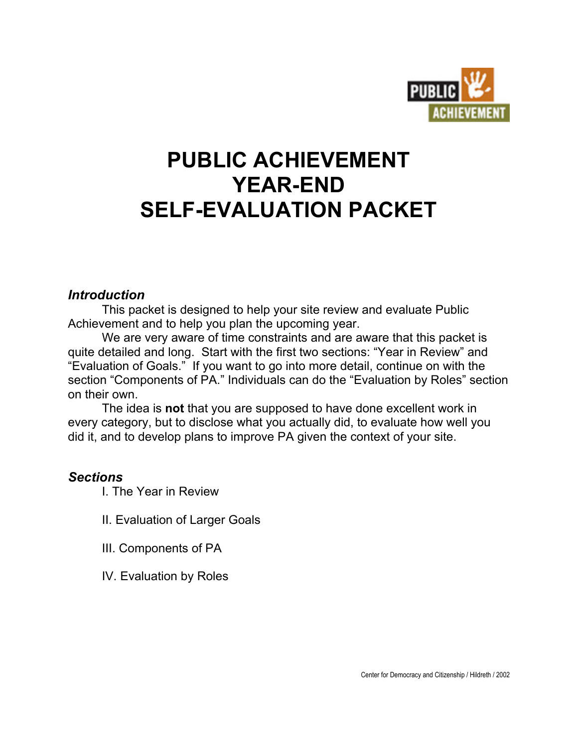

# **PUBLIC ACHIEVEMENT YEAR-END SELF-EVALUATION PACKET**

# *Introduction*

This packet is designed to help your site review and evaluate Public Achievement and to help you plan the upcoming year.

We are very aware of time constraints and are aware that this packet is quite detailed and long. Start with the first two sections: "Year in Review" and "Evaluation of Goals." If you want to go into more detail, continue on with the section "Components of PA." Individuals can do the "Evaluation by Roles" section on their own.

The idea is **not** that you are supposed to have done excellent work in every category, but to disclose what you actually did, to evaluate how well you did it, and to develop plans to improve PA given the context of your site.

# *Sections*

I. The Year in Review

II. Evaluation of Larger Goals

- III. Components of PA
- IV. Evaluation by Roles

Center for Democracy and Citizenship / Hildreth / 2002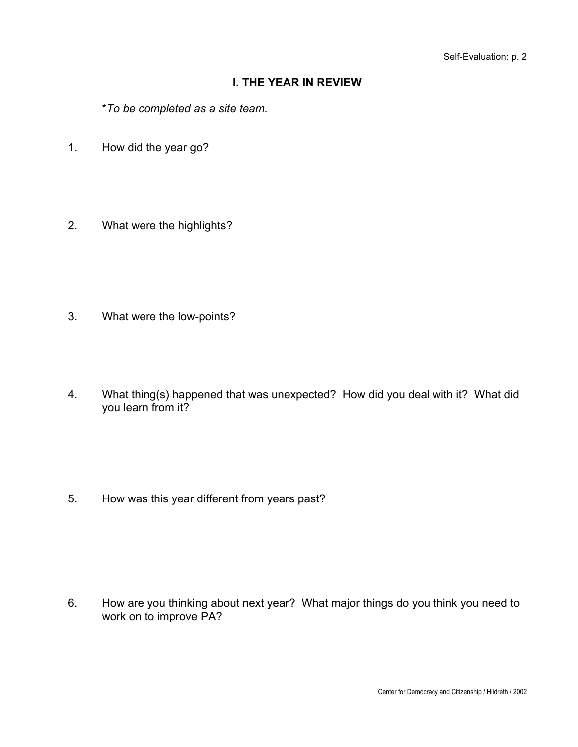## **I. THE YEAR IN REVIEW**

\**To be completed as a site team.*

- 1. How did the year go?
- 2. What were the highlights?

- 3. What were the low-points?
- 4. What thing(s) happened that was unexpected? How did you deal with it? What did you learn from it?

5. How was this year different from years past?

6. How are you thinking about next year? What major things do you think you need to work on to improve PA?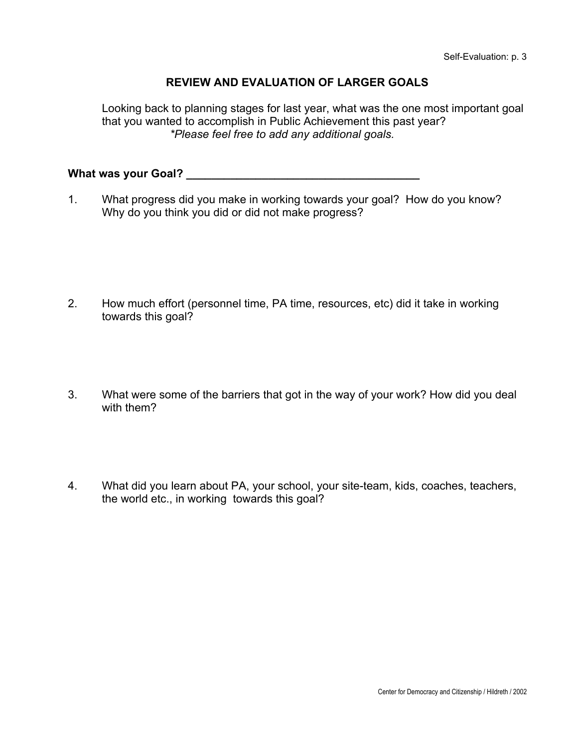## **REVIEW AND EVALUATION OF LARGER GOALS**

Looking back to planning stages for last year, what was the one most important goal that you wanted to accomplish in Public Achievement this past year? *\*Please feel free to add any additional goals.*

**What was your Goal? \_\_\_\_\_\_\_\_\_\_\_\_\_\_\_\_\_\_\_\_\_\_\_\_\_\_\_\_\_\_\_\_\_\_\_\_\_**

1. What progress did you make in working towards your goal? How do you know? Why do you think you did or did not make progress?

- 2. How much effort (personnel time, PA time, resources, etc) did it take in working towards this goal?
- 3. What were some of the barriers that got in the way of your work? How did you deal with them?
- 4. What did you learn about PA, your school, your site-team, kids, coaches, teachers, the world etc., in working towards this goal?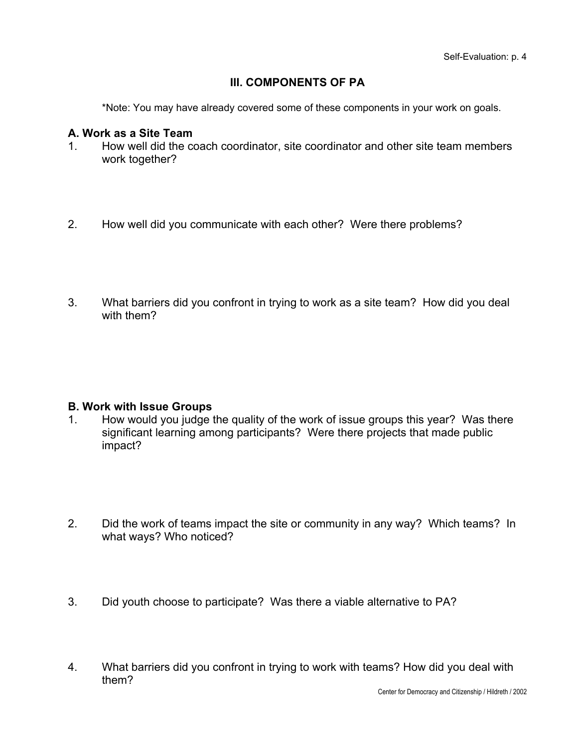## **III. COMPONENTS OF PA**

\*Note: You may have already covered some of these components in your work on goals.

#### **A. Work as a Site Team**

- 1. How well did the coach coordinator, site coordinator and other site team members work together?
- 2. How well did you communicate with each other? Were there problems?
- 3. What barriers did you confront in trying to work as a site team? How did you deal with them?

#### **B. Work with Issue Groups**

- 1. How would you judge the quality of the work of issue groups this year? Was there significant learning among participants? Were there projects that made public impact?
- 2. Did the work of teams impact the site or community in any way? Which teams? In what ways? Who noticed?
- 3. Did youth choose to participate? Was there a viable alternative to PA?
- 4. What barriers did you confront in trying to work with teams? How did you deal with them?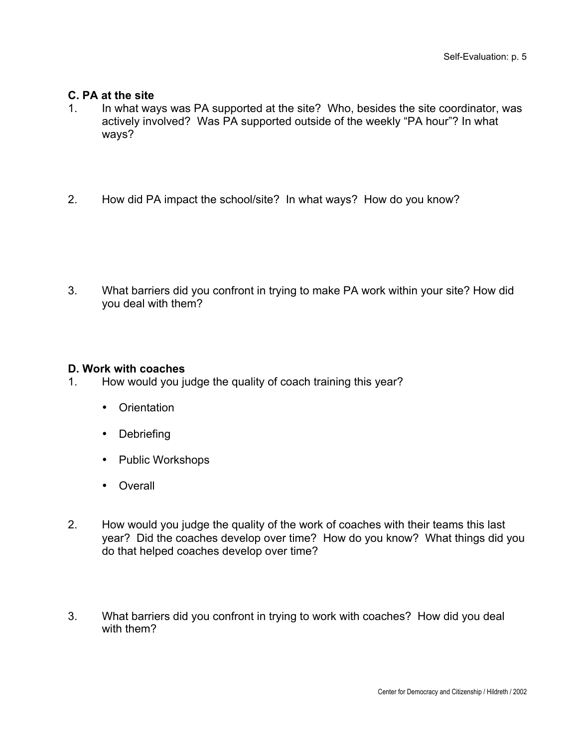## **C. PA at the site**

- 1. In what ways was PA supported at the site? Who, besides the site coordinator, was actively involved? Was PA supported outside of the weekly "PA hour"? In what ways?
- 2. How did PA impact the school/site? In what ways? How do you know?

3. What barriers did you confront in trying to make PA work within your site? How did you deal with them?

## **D. Work with coaches**

1. How would you judge the quality of coach training this year?

**Orientation** 

**Debriefing** 

Public Workshops

**Overall** 

- 2. How would you judge the quality of the work of coaches with their teams this last year? Did the coaches develop over time? How do you know? What things did you do that helped coaches develop over time?
- 3. What barriers did you confront in trying to work with coaches? How did you deal with them?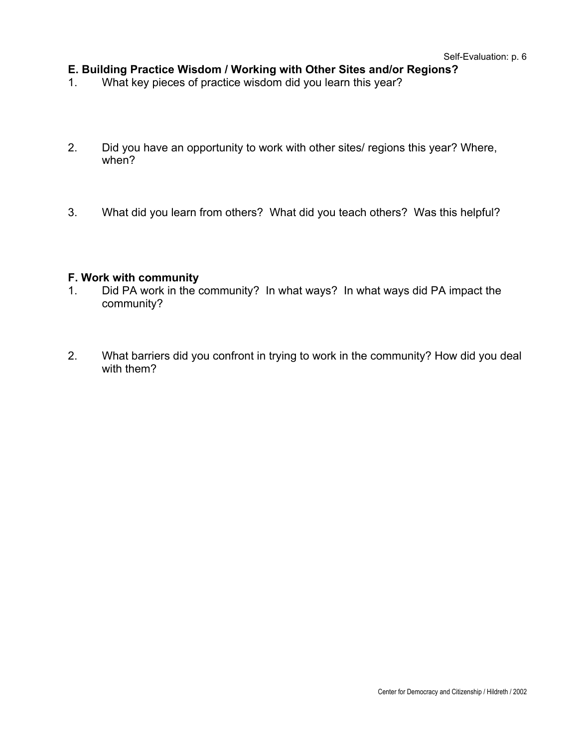## **E. Building Practice Wisdom / Working with Other Sites and/or Regions?**

- 1. What key pieces of practice wisdom did you learn this year?
- 2. Did you have an opportunity to work with other sites/ regions this year? Where, when?
- 3. What did you learn from others? What did you teach others? Was this helpful?

#### **F. Work with community**

- 1. Did PA work in the community? In what ways? In what ways did PA impact the community?
- 2. What barriers did you confront in trying to work in the community? How did you deal with them?